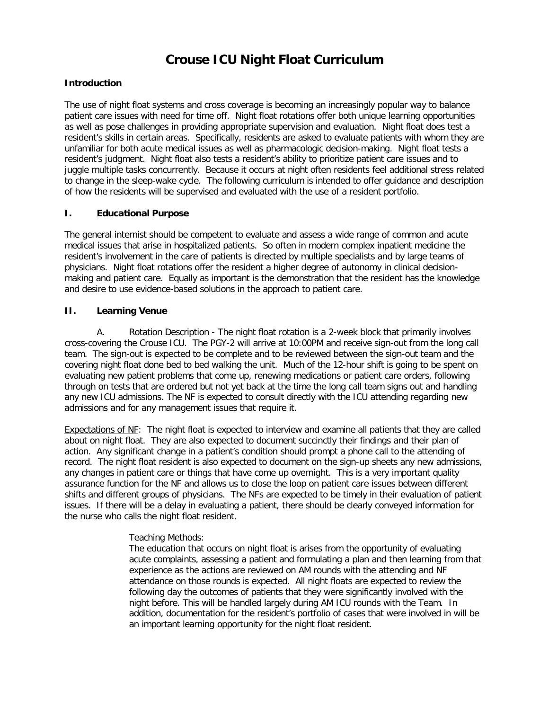# **Crouse ICU Night Float Curriculum**

### **Introduction**

The use of night float systems and cross coverage is becoming an increasingly popular way to balance patient care issues with need for time off. Night float rotations offer both unique learning opportunities as well as pose challenges in providing appropriate supervision and evaluation. Night float does test a resident's skills in certain areas. Specifically, residents are asked to evaluate patients with whom they are unfamiliar for both acute medical issues as well as pharmacologic decision-making. Night float tests a resident's judgment. Night float also tests a resident's ability to prioritize patient care issues and to juggle multiple tasks concurrently. Because it occurs at night often residents feel additional stress related to change in the sleep-wake cycle. The following curriculum is intended to offer guidance and description of how the residents will be supervised and evaluated with the use of a resident portfolio.

#### **I. Educational Purpose**

The general internist should be competent to evaluate and assess a wide range of common and acute medical issues that arise in hospitalized patients. So often in modern complex inpatient medicine the resident's involvement in the care of patients is directed by multiple specialists and by large teams of physicians. Night float rotations offer the resident a higher degree of autonomy in clinical decisionmaking and patient care. Equally as important is the demonstration that the resident has the knowledge and desire to use evidence-based solutions in the approach to patient care.

#### **II. Learning Venue**

A. Rotation Description - The night float rotation is a 2-week block that primarily involves cross-covering the Crouse ICU. The PGY-2 will arrive at 10:00PM and receive sign-out from the long call team. The sign-out is expected to be complete and to be reviewed between the sign-out team and the covering night float done bed to bed walking the unit. Much of the 12-hour shift is going to be spent on evaluating new patient problems that come up, renewing medications or patient care orders, following through on tests that are ordered but not yet back at the time the long call team signs out and handling any new ICU admissions. The NF is expected to consult directly with the ICU attending regarding new admissions and for any management issues that require it.

Expectations of NF: The night float is expected to interview and examine all patients that they are called about on night float. They are also expected to document succinctly their findings and their plan of action. Any significant change in a patient's condition should prompt a phone call to the attending of record. The night float resident is also expected to document on the sign-up sheets any new admissions, any changes in patient care or things that have come up overnight. This is a very important quality assurance function for the NF and allows us to close the loop on patient care issues between different shifts and different groups of physicians. The NFs are expected to be timely in their evaluation of patient issues. If there will be a delay in evaluating a patient, there should be clearly conveyed information for the nurse who calls the night float resident.

#### Teaching Methods:

The education that occurs on night float is arises from the opportunity of evaluating acute complaints, assessing a patient and formulating a plan and then learning from that experience as the actions are reviewed on AM rounds with the attending and NF attendance on those rounds is expected. All night floats are expected to review the following day the outcomes of patients that they were significantly involved with the night before. This will be handled largely during AM ICU rounds with the Team. In addition, documentation for the resident's portfolio of cases that were involved in will be an important learning opportunity for the night float resident.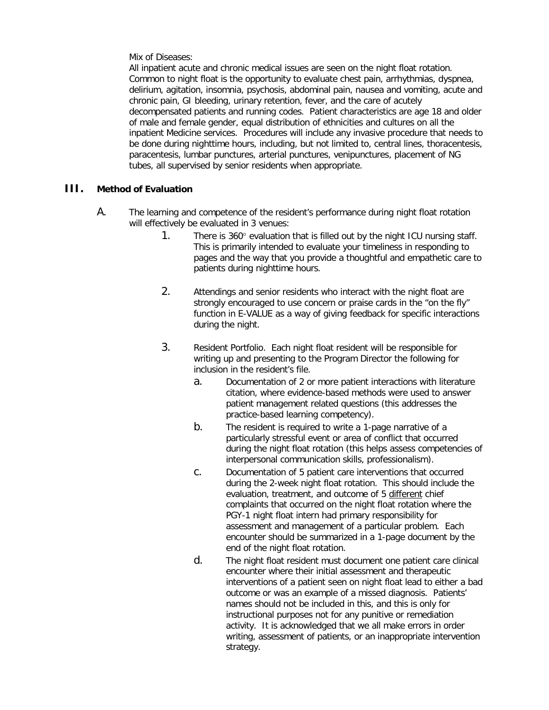Mix of Diseases:

All inpatient acute and chronic medical issues are seen on the night float rotation. Common to night float is the opportunity to evaluate chest pain, arrhythmias, dyspnea, delirium, agitation, insomnia, psychosis, abdominal pain, nausea and vomiting, acute and chronic pain, GI bleeding, urinary retention, fever, and the care of acutely decompensated patients and running codes. Patient characteristics are age 18 and older of male and female gender, equal distribution of ethnicities and cultures on all the inpatient Medicine services. Procedures will include any invasive procedure that needs to be done during nighttime hours, including, but not limited to, central lines, thoracentesis, paracentesis, lumbar punctures, arterial punctures, venipunctures, placement of NG tubes, all supervised by senior residents when appropriate.

## **III. Method of Evaluation**

- A. The learning and competence of the resident's performance during night float rotation will effectively be evaluated in 3 venues:
	- 1. There is 360° evaluation that is filled out by the night ICU nursing staff. This is primarily intended to evaluate your timeliness in responding to pages and the way that you provide a thoughtful and empathetic care to patients during nighttime hours.
	- 2. Attendings and senior residents who interact with the night float are strongly encouraged to use concern or praise cards in the "on the fly" function in E-VALUE as a way of giving feedback for specific interactions during the night.
	- 3. Resident Portfolio. Each night float resident will be responsible for writing up and presenting to the Program Director the following for inclusion in the resident's file.
		- a. Documentation of 2 or more patient interactions with literature citation, where evidence-based methods were used to answer patient management related questions (this addresses the practice-based learning competency).
		- b. The resident is required to write a 1-page narrative of a particularly stressful event or area of conflict that occurred during the night float rotation (this helps assess competencies of interpersonal communication skills, professionalism).
		- c. Documentation of 5 patient care interventions that occurred during the 2-week night float rotation. This should include the evaluation, treatment, and outcome of 5 different chief complaints that occurred on the night float rotation where the PGY-1 night float intern had primary responsibility for assessment and management of a particular problem. Each encounter should be summarized in a 1-page document by the end of the night float rotation.
		- d. The night float resident must document one patient care clinical encounter where their initial assessment and therapeutic interventions of a patient seen on night float lead to either a bad outcome or was an example of a missed diagnosis. Patients' names should not be included in this, and this is only for instructional purposes not for any punitive or remediation activity. It is acknowledged that we all make errors in order writing, assessment of patients, or an inappropriate intervention strategy.